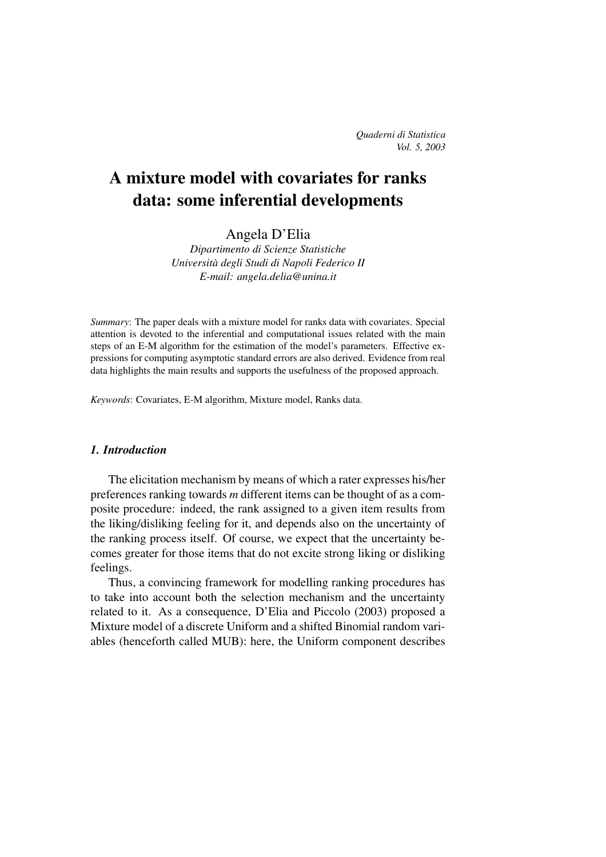# **A mixture model with covariates for ranks data: some inferential developments**

Angela D'Elia

*Dipartimento di Scienze Statistiche Universita` degli Studi di Napoli Federico II E-mail: angela.delia@unina.it*

*Summary*: The paper deals with a mixture model for ranks data with covariates. Special attention is devoted to the inferential and computational issues related with the main steps of an E-M algorithm for the estimation of the model's parameters. Effective expressions for computing asymptotic standard errors are also derived. Evidence from real data highlights the main results and supports the usefulness of the proposed approach.

*Keywords*: Covariates, E-M algorithm, Mixture model, Ranks data.

#### *1. Introduction*

The elicitation mechanism by means of which a rater expresses his/her preferences ranking towards *m* different items can be thought of as a composite procedure: indeed, the rank assigned to a given item results from the liking/disliking feeling for it, and depends also on the uncertainty of the ranking process itself. Of course, we expect that the uncertainty becomes greater for those items that do not excite strong liking or disliking feelings.

Thus, a convincing framework for modelling ranking procedures has to take into account both the selection mechanism and the uncertainty related to it. As a consequence, D'Elia and Piccolo (2003) proposed a Mixture model of a discrete Uniform and a shifted Binomial random variables (henceforth called MUB): here, the Uniform component describes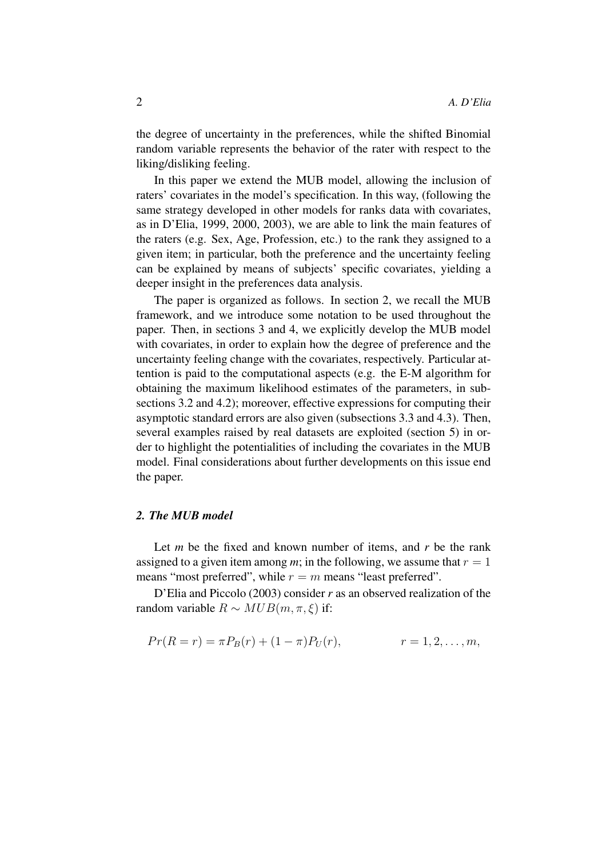the degree of uncertainty in the preferences, while the shifted Binomial random variable represents the behavior of the rater with respect to the liking/disliking feeling.

In this paper we extend the MUB model, allowing the inclusion of raters' covariates in the model's specification. In this way, (following the same strategy developed in other models for ranks data with covariates, as in D'Elia, 1999, 2000, 2003), we are able to link the main features of the raters (e.g. Sex, Age, Profession, etc.) to the rank they assigned to a given item; in particular, both the preference and the uncertainty feeling can be explained by means of subjects' specific covariates, yielding a deeper insight in the preferences data analysis.

The paper is organized as follows. In section 2, we recall the MUB framework, and we introduce some notation to be used throughout the paper. Then, in sections 3 and 4, we explicitly develop the MUB model with covariates, in order to explain how the degree of preference and the uncertainty feeling change with the covariates, respectively. Particular attention is paid to the computational aspects (e.g. the E-M algorithm for obtaining the maximum likelihood estimates of the parameters, in subsections 3.2 and 4.2); moreover, effective expressions for computing their asymptotic standard errors are also given (subsections 3.3 and 4.3). Then, several examples raised by real datasets are exploited (section 5) in order to highlight the potentialities of including the covariates in the MUB model. Final considerations about further developments on this issue end the paper.

## *2. The MUB model*

Let *m* be the fixed and known number of items, and *r* be the rank assigned to a given item among *m*; in the following, we assume that  $r = 1$ means "most preferred", while  $r = m$  means "least preferred".

D'Elia and Piccolo (2003) consider *r* as an observed realization of the random variable  $R \sim MUB(m, \pi, \xi)$  if:

$$
Pr(R = r) = \pi P_B(r) + (1 - \pi)P_U(r), \qquad r = 1, 2, ..., m,
$$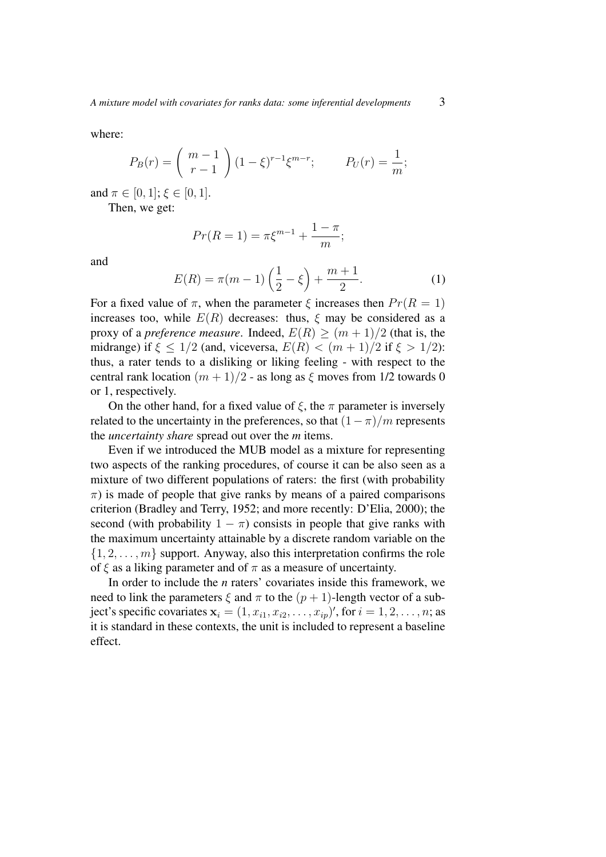where:

$$
P_B(r) = {m-1 \choose r-1} (1-\xi)^{r-1} \xi^{m-r}; \qquad P_U(r) = \frac{1}{m};
$$

and  $\pi \in [0, 1]$ ;  $\xi \in [0, 1]$ .

Then, we get:

$$
Pr(R = 1) = \pi \xi^{m-1} + \frac{1 - \pi}{m};
$$

and

$$
E(R) = \pi(m-1)\left(\frac{1}{2} - \xi\right) + \frac{m+1}{2}.\tag{1}
$$

For a fixed value of  $\pi$ , when the parameter  $\xi$  increases then  $Pr(R = 1)$ increases too, while  $E(R)$  decreases: thus,  $\xi$  may be considered as a proxy of a *preference measure*. Indeed,  $E(R) \geq (m+1)/2$  (that is, the midrange) if  $\xi \leq 1/2$  (and, viceversa,  $E(R) < (m+1)/2$  if  $\xi > 1/2$ ): thus, a rater tends to a disliking or liking feeling - with respect to the central rank location  $(m + 1)/2$  - as long as  $\xi$  moves from 1/2 towards 0 or 1, respectively.

On the other hand, for a fixed value of  $\xi$ , the  $\pi$  parameter is inversely related to the uncertainty in the preferences, so that  $(1 - \pi)/m$  represents the *uncertainty share* spread out over the *m* items.

Even if we introduced the MUB model as a mixture for representing two aspects of the ranking procedures, of course it can be also seen as a mixture of two different populations of raters: the first (with probability  $\pi$ ) is made of people that give ranks by means of a paired comparisons criterion (Bradley and Terry, 1952; and more recently: D'Elia, 2000); the second (with probability  $1 - \pi$ ) consists in people that give ranks with the maximum uncertainty attainable by a discrete random variable on the  $\{1, 2, \ldots, m\}$  support. Anyway, also this interpretation confirms the role of  $\xi$  as a liking parameter and of  $\pi$  as a measure of uncertainty.

In order to include the *n* raters' covariates inside this framework, we need to link the parameters  $\xi$  and  $\pi$  to the  $(p + 1)$ -length vector of a subject's specific covariates  $\mathbf{x}_i = (1, x_{i1}, x_{i2}, \dots, x_{ip})'$ , for  $i = 1, 2, \dots, n$ ; as it is standard in these contexts, the unit is included to represent a baseline effect.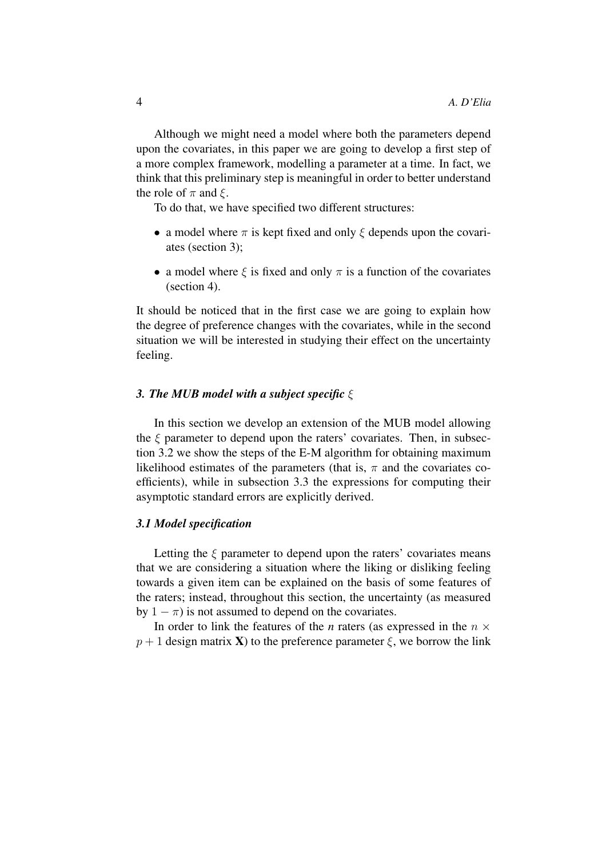Although we might need a model where both the parameters depend upon the covariates, in this paper we are going to develop a first step of a more complex framework, modelling a parameter at a time. In fact, we think that this preliminary step is meaningful in order to better understand the role of  $\pi$  and  $\xi$ .

To do that, we have specified two different structures:

- a model where  $\pi$  is kept fixed and only  $\xi$  depends upon the covariates (section 3);
- a model where  $\xi$  is fixed and only  $\pi$  is a function of the covariates (section 4).

It should be noticed that in the first case we are going to explain how the degree of preference changes with the covariates, while in the second situation we will be interested in studying their effect on the uncertainty feeling.

#### *3. The MUB model with a subject specific* ξ

In this section we develop an extension of the MUB model allowing the  $\xi$  parameter to depend upon the raters' covariates. Then, in subsection 3.2 we show the steps of the E-M algorithm for obtaining maximum likelihood estimates of the parameters (that is,  $\pi$  and the covariates coefficients), while in subsection 3.3 the expressions for computing their asymptotic standard errors are explicitly derived.

## *3.1 Model specification*

Letting the  $\xi$  parameter to depend upon the raters' covariates means that we are considering a situation where the liking or disliking feeling towards a given item can be explained on the basis of some features of the raters; instead, throughout this section, the uncertainty (as measured by  $1 - \pi$ ) is not assumed to depend on the covariates.

In order to link the features of the *n* raters (as expressed in the  $n \times$  $p + 1$  design matrix **X**) to the preference parameter  $\xi$ , we borrow the link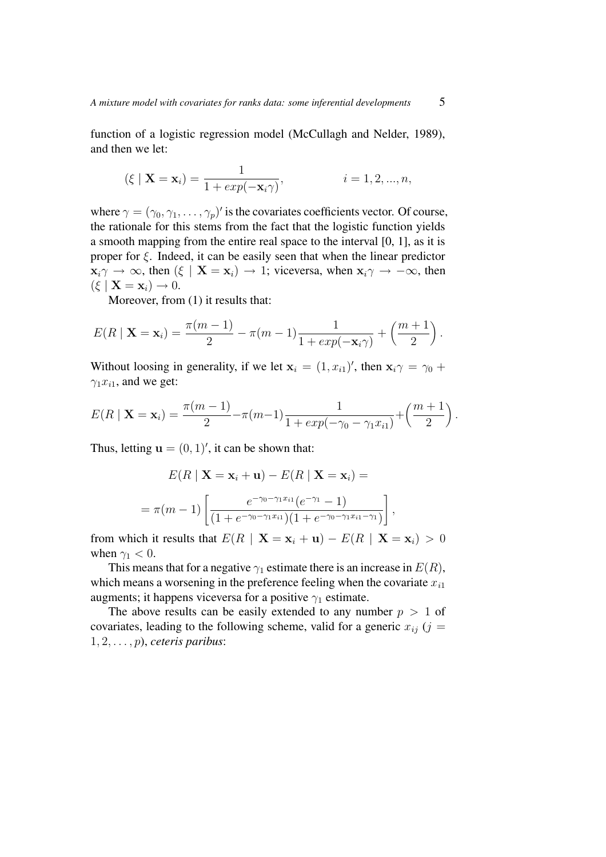function of a logistic regression model (McCullagh and Nelder, 1989), and then we let:

$$
(\xi | \mathbf{X} = \mathbf{x}_i) = \frac{1}{1 + exp(-\mathbf{x}_i \gamma)},
$$
   
  $i = 1, 2, ..., n,$ 

where  $\gamma = (\gamma_0, \gamma_1, \dots, \gamma_p)'$  is the covariates coefficients vector. Of course, the rationale for this stems from the fact that the logistic function yields a smooth mapping from the entire real space to the interval [0, 1], as it is proper for  $\xi$ . Indeed, it can be easily seen that when the linear predictor  $x_i \gamma \to \infty$ , then  $(\xi \mid X = x_i) \to 1$ ; viceversa, when  $x_i \gamma \to -\infty$ , then  $(\xi \mid \mathbf{X} = \mathbf{x}_i) \rightarrow 0.$ 

Moreover, from (1) it results that:

$$
E(R \mid \mathbf{X} = \mathbf{x}_i) = \frac{\pi(m-1)}{2} - \pi(m-1)\frac{1}{1 + exp(-\mathbf{x}_i\gamma)} + \left(\frac{m+1}{2}\right).
$$

Without loosing in generality, if we let  $x_i = (1, x_{i1})'$ , then  $x_i \gamma = \gamma_0 + \gamma_1$  $\gamma_1 x_{i1}$ , and we get:

$$
E(R | \mathbf{X} = \mathbf{x}_i) = \frac{\pi(m-1)}{2} - \pi(m-1) \frac{1}{1 + exp(-\gamma_0 - \gamma_1 x_{i1})} + \left(\frac{m+1}{2}\right).
$$

Thus, letting  $\mathbf{u} = (0, 1)^\prime$ , it can be shown that:

$$
E(R | \mathbf{X} = \mathbf{x}_i + \mathbf{u}) - E(R | \mathbf{X} = \mathbf{x}_i) =
$$
  
=  $\pi(m-1) \left[ \frac{e^{-\gamma_0 - \gamma_1 x_{i1}} (e^{-\gamma_1} - 1)}{(1 + e^{-\gamma_0 - \gamma_1 x_{i1}})(1 + e^{-\gamma_0 - \gamma_1 x_{i1} - \gamma_1})} \right],$ 

from which it results that  $E(R \mid \mathbf{X} = \mathbf{x}_i + \mathbf{u}) - E(R \mid \mathbf{X} = \mathbf{x}_i) > 0$ when  $\gamma_1$  < 0.

This means that for a negative  $\gamma_1$  estimate there is an increase in  $E(R)$ , which means a worsening in the preference feeling when the covariate  $x_{i1}$ augments; it happens viceversa for a positive  $\gamma_1$  estimate.

The above results can be easily extended to any number  $p > 1$  of covariates, leading to the following scheme, valid for a generic  $x_{ij}$  (j = 1, 2, . . . , p), *ceteris paribus*: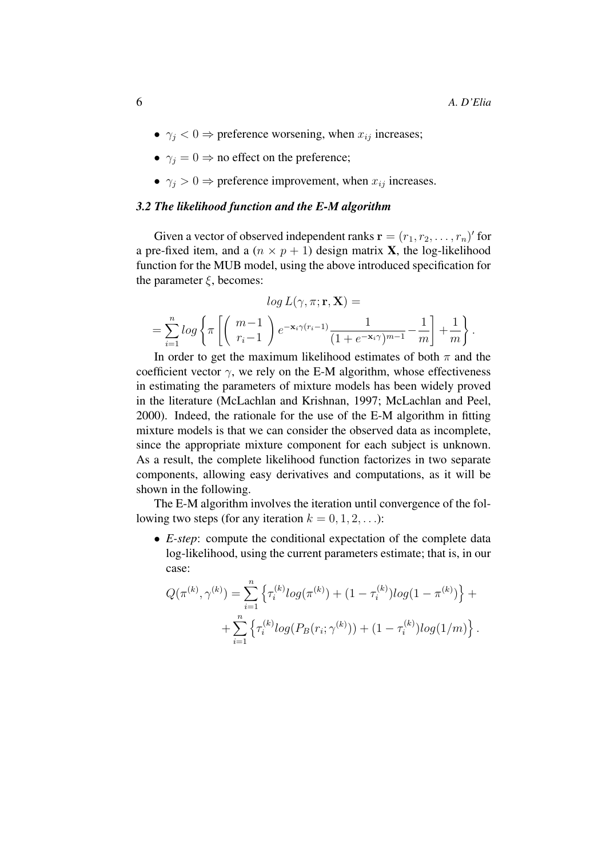- $\gamma_i$  < 0  $\Rightarrow$  preference worsening, when  $x_{ij}$  increases;
- $\gamma_i = 0 \Rightarrow$  no effect on the preference;
- $\gamma_i > 0 \Rightarrow$  preference improvement, when  $x_{ij}$  increases.

# *3.2 The likelihood function and the E-M algorithm*

Given a vector of observed independent ranks  $\mathbf{r} = (r_1, r_2, \dots, r_n)'$  for a pre-fixed item, and a  $(n \times p + 1)$  design matrix **X**, the log-likelihood function for the MUB model, using the above introduced specification for the parameter  $\xi$ , becomes:

$$
\log L(\gamma, \pi; \mathbf{r}, \mathbf{X}) =
$$
  
= 
$$
\sum_{i=1}^{n} \log \left\{ \pi \left[ \left( \begin{array}{c} m-1 \\ r_i-1 \end{array} \right) e^{-\mathbf{x}_i \gamma (r_i-1)} \frac{1}{(1+e^{-\mathbf{x}_i \gamma})^{m-1}} - \frac{1}{m} \right] + \frac{1}{m} \right\}.
$$

In order to get the maximum likelihood estimates of both  $\pi$  and the coefficient vector  $\gamma$ , we rely on the E-M algorithm, whose effectiveness in estimating the parameters of mixture models has been widely proved in the literature (McLachlan and Krishnan, 1997; McLachlan and Peel, 2000). Indeed, the rationale for the use of the E-M algorithm in fitting mixture models is that we can consider the observed data as incomplete, since the appropriate mixture component for each subject is unknown. As a result, the complete likelihood function factorizes in two separate components, allowing easy derivatives and computations, as it will be shown in the following.

The E-M algorithm involves the iteration until convergence of the following two steps (for any iteration  $k = 0, 1, 2, \ldots$ ):

• *E-step*: compute the conditional expectation of the complete data log-likelihood, using the current parameters estimate; that is, in our case:

$$
Q(\pi^{(k)}, \gamma^{(k)}) = \sum_{i=1}^{n} \left\{ \tau_i^{(k)} log(\pi^{(k)}) + (1 - \tau_i^{(k)}) log(1 - \pi^{(k)}) \right\} + + \sum_{i=1}^{n} \left\{ \tau_i^{(k)} log(P_B(r_i; \gamma^{(k)})) + (1 - \tau_i^{(k)}) log(1/m) \right\}.
$$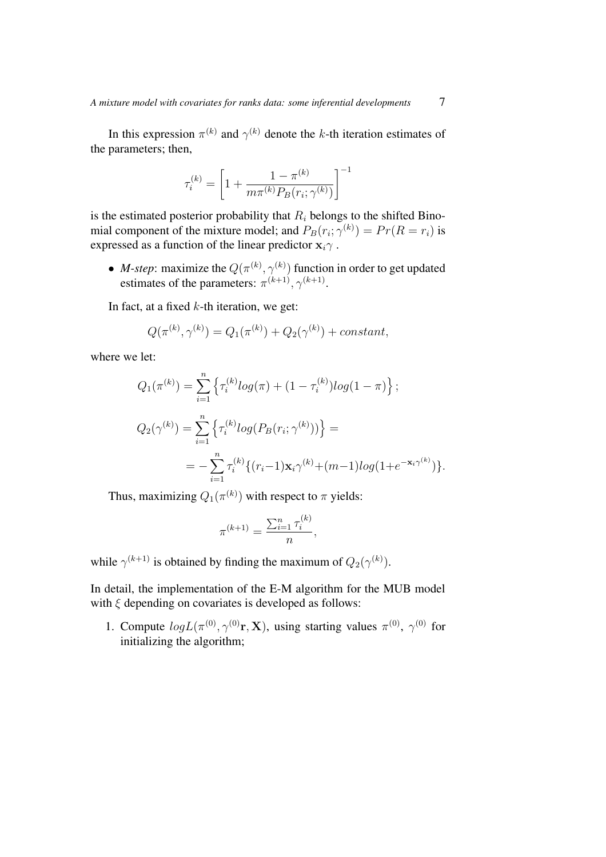In this expression  $\pi^{(k)}$  and  $\gamma^{(k)}$  denote the k-th iteration estimates of the parameters; then,

$$
\tau_i^{(k)} = \left[1 + \frac{1 - \pi^{(k)}}{m\pi^{(k)}P_B(r_i; \gamma^{(k)})}\right]^{-1}
$$

is the estimated posterior probability that  $R_i$  belongs to the shifted Binomial component of the mixture model; and  $P_B(r_i; \gamma^{(k)}) = Pr(R = r_i)$  is expressed as a function of the linear predictor  $x_i\gamma$ .

• *M-step*: maximize the  $Q(\pi^{(k)}, \gamma^{(k)})$  function in order to get updated estimates of the parameters:  $\pi^{(k+1)}$ ,  $\gamma^{(k+1)}$ .

In fact, at a fixed  $k$ -th iteration, we get:

$$
Q(\pi^{(k)}, \gamma^{(k)}) = Q_1(\pi^{(k)}) + Q_2(\gamma^{(k)}) + constant,
$$

where we let:

$$
Q_1(\pi^{(k)}) = \sum_{i=1}^n \left\{ \tau_i^{(k)} log(\pi) + (1 - \tau_i^{(k)}) log(1 - \pi) \right\};
$$
  
\n
$$
Q_2(\gamma^{(k)}) = \sum_{i=1}^n \left\{ \tau_i^{(k)} log(P_B(r_i; \gamma^{(k)})) \right\} =
$$
  
\n
$$
= -\sum_{i=1}^n \tau_i^{(k)} \{ (r_i - 1) \mathbf{x}_i \gamma^{(k)} + (m - 1) log(1 + e^{-\mathbf{x}_i \gamma^{(k)}}) \}.
$$

Thus, maximizing  $Q_1(\pi^{(k)})$  with respect to  $\pi$  yields:

$$
\pi^{(k+1)} = \frac{\sum_{i=1}^{n} \tau_i^{(k)}}{n},
$$

while  $\gamma^{(k+1)}$  is obtained by finding the maximum of  $Q_2(\gamma^{(k)})$ .

In detail, the implementation of the E-M algorithm for the MUB model with  $\xi$  depending on covariates is developed as follows:

1. Compute  $log L(\pi^{(0)}, \gamma^{(0)}r, X)$ , using starting values  $\pi^{(0)}$ ,  $\gamma^{(0)}$  for initializing the algorithm;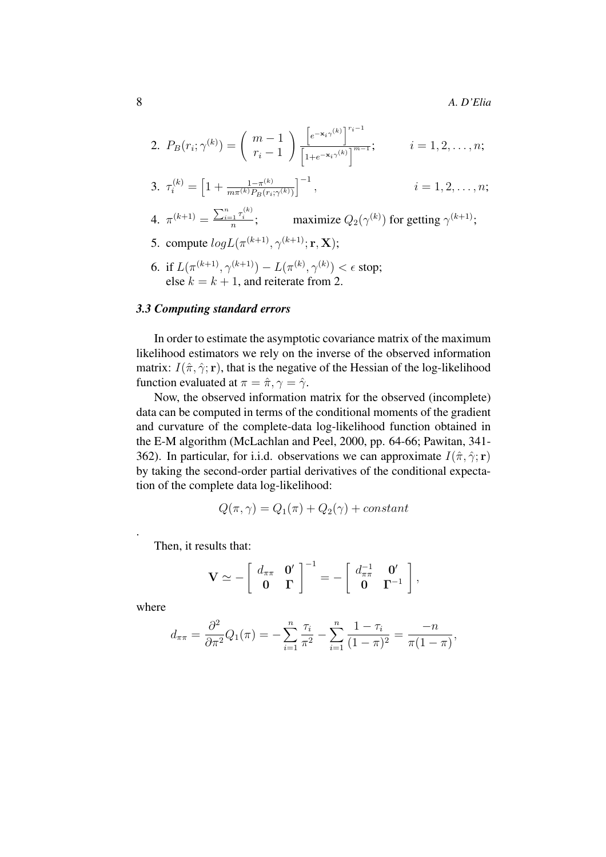2. 
$$
P_B(r_i; \gamma^{(k)}) = \binom{m-1}{r_i-1} \frac{\left[e^{-\mathbf{x}_i \gamma^{(k)}}\right]^{r_i-1}}{\left[1 + e^{-\mathbf{x}_i \gamma^{(k)}}\right]^{m-1}};
$$
  $i = 1, 2, ..., n;$   
\n3.  $\tau_i^{(k)} = \left[1 + \frac{1 - \pi^{(k)}}{m \pi^{(k)} P_B(r_i; \gamma^{(k)})}\right]^{-1},$   $i = 1, 2, ..., n;$   
\n4.  $\pi^{(k+1)} = \frac{\sum_{i=1}^n \tau_i^{(k)}}{n};$  maximize  $Q_2(\gamma^{(k)})$  for getting  $\gamma^{(k+1)};$   
\n5. compute  $logL(\pi^{(k+1)}, \gamma^{(k+1)}; \mathbf{r}, \mathbf{X});$ 

6. if 
$$
L(\pi^{(k+1)}, \gamma^{(k+1)}) - L(\pi^{(k)}, \gamma^{(k)}) < \epsilon
$$
 stop; else  $k = k + 1$ , and reiterate from 2.

#### *3.3 Computing standard errors*

In order to estimate the asymptotic covariance matrix of the maximum likelihood estimators we rely on the inverse of the observed information matrix:  $I(\hat{\pi}, \hat{\gamma}; \mathbf{r})$ , that is the negative of the Hessian of the log-likelihood function evaluated at  $\pi = \hat{\pi}, \gamma = \hat{\gamma}$ .

Now, the observed information matrix for the observed (incomplete) data can be computed in terms of the conditional moments of the gradient and curvature of the complete-data log-likelihood function obtained in the E-M algorithm (McLachlan and Peel, 2000, pp. 64-66; Pawitan, 341- 362). In particular, for i.i.d. observations we can approximate  $I(\hat{\pi}, \hat{\gamma}; \mathbf{r})$ by taking the second-order partial derivatives of the conditional expectation of the complete data log-likelihood:

$$
Q(\pi, \gamma) = Q_1(\pi) + Q_2(\gamma) + constant
$$

Then, it results that:

$$
\mathbf{V} \simeq -\left[\begin{array}{cc} d_{\pi\pi} & \mathbf{0}' \\ \mathbf{0} & \mathbf{\Gamma} \end{array}\right]^{-1} = -\left[\begin{array}{cc} d_{\pi\pi}^{-1} & \mathbf{0}' \\ \mathbf{0} & \mathbf{\Gamma}^{-1} \end{array}\right],
$$

where

.

$$
d_{\pi\pi} = \frac{\partial^2}{\partial \pi^2} Q_1(\pi) = -\sum_{i=1}^n \frac{\tau_i}{\pi^2} - \sum_{i=1}^n \frac{1 - \tau_i}{(1 - \pi)^2} = \frac{-n}{\pi(1 - \pi)},
$$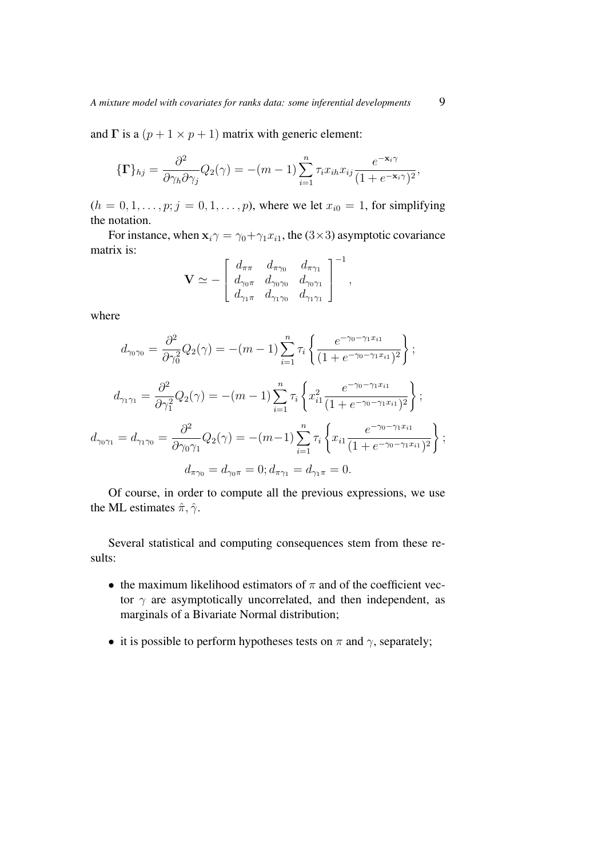and  $\Gamma$  is a  $(p + 1 \times p + 1)$  matrix with generic element:

$$
\{\Gamma\}_{hj} = \frac{\partial^2}{\partial \gamma_h \partial \gamma_j} Q_2(\gamma) = -(m-1) \sum_{i=1}^n \tau_i x_{ih} x_{ij} \frac{e^{-\mathbf{x}_i \gamma}}{(1 + e^{-\mathbf{x}_i \gamma})^2},
$$

 $(h = 0, 1, \ldots, p; j = 0, 1, \ldots, p)$ , where we let  $x_{i0} = 1$ , for simplifying the notation.

For instance, when  $x_i \gamma = \gamma_0 + \gamma_1 x_{i1}$ , the (3×3) asymptotic covariance matrix is:

$$
\mathbf{V} \simeq -\left[\begin{array}{cccc} d_{\pi\pi} & d_{\pi\gamma_0} & d_{\pi\gamma_1} \\ d_{\gamma_0\pi} & d_{\gamma_0\gamma_0} & d_{\gamma_0\gamma_1} \\ d_{\gamma_1\pi} & d_{\gamma_1\gamma_0} & d_{\gamma_1\gamma_1} \end{array}\right]^{-1},
$$

where

$$
d_{\gamma_0\gamma_0} = \frac{\partial^2}{\partial \gamma_0^2} Q_2(\gamma) = -(m-1) \sum_{i=1}^n \tau_i \left\{ \frac{e^{-\gamma_0 - \gamma_1 x_{i1}}}{(1 + e^{-\gamma_0 - \gamma_1 x_{i1}})^2} \right\};
$$
  
\n
$$
d_{\gamma_1\gamma_1} = \frac{\partial^2}{\partial \gamma_1^2} Q_2(\gamma) = -(m-1) \sum_{i=1}^n \tau_i \left\{ x_{i1}^2 \frac{e^{-\gamma_0 - \gamma_1 x_{i1}}}{(1 + e^{-\gamma_0 - \gamma_1 x_{i1}})^2} \right\};
$$
  
\n
$$
d_{\gamma_0\gamma_1} = d_{\gamma_1\gamma_0} = \frac{\partial^2}{\partial \gamma_0 \gamma_1} Q_2(\gamma) = -(m-1) \sum_{i=1}^n \tau_i \left\{ x_{i1} \frac{e^{-\gamma_0 - \gamma_1 x_{i1}}}{(1 + e^{-\gamma_0 - \gamma_1 x_{i1}})^2} \right\};
$$
  
\n
$$
d_{\pi\gamma_0} = d_{\gamma_0\pi} = 0; d_{\pi\gamma_1} = d_{\gamma_1\pi} = 0.
$$

Of course, in order to compute all the previous expressions, we use the ML estimates  $\hat{\pi}, \hat{\gamma}$ .

Several statistical and computing consequences stem from these results:

- the maximum likelihood estimators of  $\pi$  and of the coefficient vector  $\gamma$  are asymptotically uncorrelated, and then independent, as marginals of a Bivariate Normal distribution;
- it is possible to perform hypotheses tests on  $\pi$  and  $\gamma$ , separately;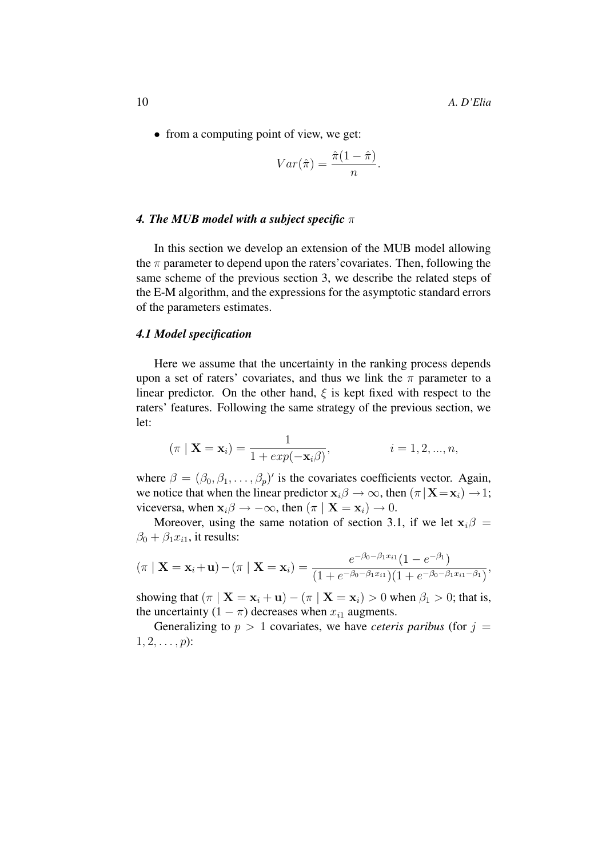• from a computing point of view, we get:

$$
Var(\hat{\pi}) = \frac{\hat{\pi}(1-\hat{\pi})}{n}.
$$

#### *4. The MUB model with a subject specific* π

In this section we develop an extension of the MUB model allowing the  $\pi$  parameter to depend upon the raters' covariates. Then, following the same scheme of the previous section 3, we describe the related steps of the E-M algorithm, and the expressions for the asymptotic standard errors of the parameters estimates.

#### *4.1 Model specification*

Here we assume that the uncertainty in the ranking process depends upon a set of raters' covariates, and thus we link the  $\pi$  parameter to a linear predictor. On the other hand,  $\xi$  is kept fixed with respect to the raters' features. Following the same strategy of the previous section, we let:

$$
(\pi | \mathbf{X} = \mathbf{x}_i) = \frac{1}{1 + exp(-\mathbf{x}_i/\beta)},
$$
   
  $i = 1, 2, ..., n,$ 

where  $\beta = (\beta_0, \beta_1, \dots, \beta_p)'$  is the covariates coefficients vector. Again, we notice that when the linear predictor  $\mathbf{x}_i \mathbf{\beta} \to \infty$ , then  $(\pi | \mathbf{X} = \mathbf{x}_i) \to 1$ ; viceversa, when  $\mathbf{x}_i \beta \rightarrow -\infty$ , then  $(\pi | \mathbf{X} = \mathbf{x}_i) \rightarrow 0$ .

Moreover, using the same notation of section 3.1, if we let  $x_i\beta =$  $\beta_0 + \beta_1 x_{i1}$ , it results:

$$
(\pi | \mathbf{X} = \mathbf{x}_i + \mathbf{u}) - (\pi | \mathbf{X} = \mathbf{x}_i) = \frac{e^{-\beta_0 - \beta_1 x_{i1}} (1 - e^{-\beta_1})}{(1 + e^{-\beta_0 - \beta_1 x_{i1}})(1 + e^{-\beta_0 - \beta_1 x_{i1} - \beta_1})},
$$

showing that  $(\pi | X = x_i + u) - (\pi | X = x_i) > 0$  when  $\beta_1 > 0$ ; that is, the uncertainty  $(1 - \pi)$  decreases when  $x_{i1}$  augments.

Generalizing to  $p > 1$  covariates, we have *ceteris paribus* (for  $j =$  $1, 2, \ldots, p)$ :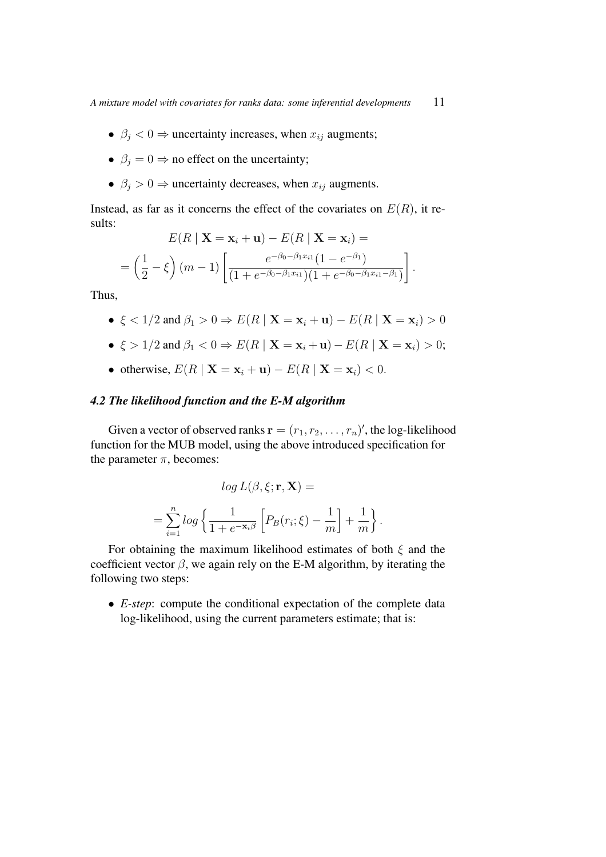- $\beta_i < 0$   $\Rightarrow$  uncertainty increases, when  $x_{ij}$  augments;
- $\beta_j = 0 \Rightarrow$  no effect on the uncertainty;
- $\beta_j > 0$   $\Rightarrow$  uncertainty decreases, when  $x_{ij}$  augments.

Instead, as far as it concerns the effect of the covariates on  $E(R)$ , it results:

$$
E(R | \mathbf{X} = \mathbf{x}_i + \mathbf{u}) - E(R | \mathbf{X} = \mathbf{x}_i) =
$$
  
=  $\left(\frac{1}{2} - \xi\right) (m - 1) \left[ \frac{e^{-\beta_0 - \beta_1 x_{i1}} (1 - e^{-\beta_1})}{(1 + e^{-\beta_0 - \beta_1 x_{i1}})(1 + e^{-\beta_0 - \beta_1 x_{i1} - \beta_1})} \right].$ 

Thus,

• 
$$
\xi
$$
 < 1/2 and  $\beta_1$  > 0  $\Rightarrow$   $E(R | \mathbf{X} = \mathbf{x}_i + \mathbf{u}) - E(R | \mathbf{X} = \mathbf{x}_i)$  > 0

- $\xi > 1/2$  and  $\beta_1 < 0 \Rightarrow E(R | \mathbf{X} = \mathbf{x}_i + \mathbf{u}) E(R | \mathbf{X} = \mathbf{x}_i) > 0;$
- otherwise,  $E(R | X = x_i + u) E(R | X = x_i) < 0$ .

## *4.2 The likelihood function and the E-M algorithm*

Given a vector of observed ranks  $\mathbf{r} = (r_1, r_2, \dots, r_n)'$ , the log-likelihood function for the MUB model, using the above introduced specification for the parameter  $\pi$ , becomes:

$$
log L(\beta, \xi; \mathbf{r}, \mathbf{X}) =
$$
  
= 
$$
\sum_{i=1}^{n} log \left\{ \frac{1}{1 + e^{-\mathbf{x}_i \beta}} \left[ P_B(r_i; \xi) - \frac{1}{m} \right] + \frac{1}{m} \right\}.
$$

For obtaining the maximum likelihood estimates of both  $\xi$  and the coefficient vector  $\beta$ , we again rely on the E-M algorithm, by iterating the following two steps:

• *E-step*: compute the conditional expectation of the complete data log-likelihood, using the current parameters estimate; that is: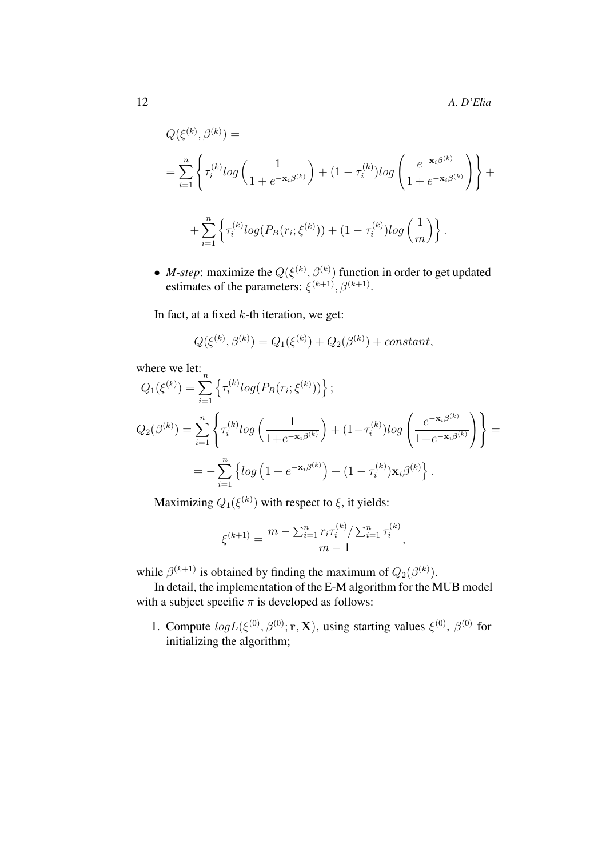$$
Q(\xi^{(k)}, \beta^{(k)}) =
$$
  
= 
$$
\sum_{i=1}^{n} \left\{ \tau_i^{(k)} log\left(\frac{1}{1 + e^{-\mathbf{x}_i \beta^{(k)}}}\right) + (1 - \tau_i^{(k)}) log\left(\frac{e^{-\mathbf{x}_i \beta^{(k)}}}{1 + e^{-\mathbf{x}_i \beta^{(k)}}}\right) \right\} +
$$
  
+ 
$$
\sum_{i=1}^{n} \left\{ \tau_i^{(k)} log(P_B(r_i; \xi^{(k)})) + (1 - \tau_i^{(k)}) log\left(\frac{1}{m}\right) \right\}.
$$

• *M-step*: maximize the  $Q(\xi^{(k)}, \beta^{(k)})$  function in order to get updated estimates of the parameters:  $\xi^{(k+1)}$ ,  $\beta^{(k+1)}$ .

In fact, at a fixed  $k$ -th iteration, we get:

$$
Q(\xi^{(k)}, \beta^{(k)}) = Q_1(\xi^{(k)}) + Q_2(\beta^{(k)}) + constant,
$$

where we let:

$$
Q_1(\xi^{(k)}) = \sum_{i=1}^n \left\{ \tau_i^{(k)} log(P_B(r_i; \xi^{(k)})) \right\};
$$
  
\n
$$
Q_2(\beta^{(k)}) = \sum_{i=1}^n \left\{ \tau_i^{(k)} log\left(\frac{1}{1 + e^{-\mathbf{x}_i \beta^{(k)}}}\right) + (1 - \tau_i^{(k)}) log\left(\frac{e^{-\mathbf{x}_i \beta^{(k)}}}{1 + e^{-\mathbf{x}_i \beta^{(k)}}}\right) \right\} =
$$
  
\n
$$
= -\sum_{i=1}^n \left\{ log\left(1 + e^{-\mathbf{x}_i \beta^{(k)}}\right) + (1 - \tau_i^{(k)}) \mathbf{x}_i \beta^{(k)} \right\}.
$$

Maximizing  $Q_1(\xi^{(k)})$  with respect to  $\xi$ , it yields:

$$
\xi^{(k+1)} = \frac{m - \sum_{i=1}^{n} r_i \tau_i^{(k)} / \sum_{i=1}^{n} \tau_i^{(k)}}{m-1},
$$

while  $\beta^{(k+1)}$  is obtained by finding the maximum of  $Q_2(\beta^{(k)})$ .

In detail, the implementation of the E-M algorithm for the MUB model with a subject specific  $\pi$  is developed as follows:

1. Compute  $log L(\xi^{(0)}, \beta^{(0)}; \mathbf{r}, \mathbf{X})$ , using starting values  $\xi^{(0)}$ ,  $\beta^{(0)}$  for initializing the algorithm;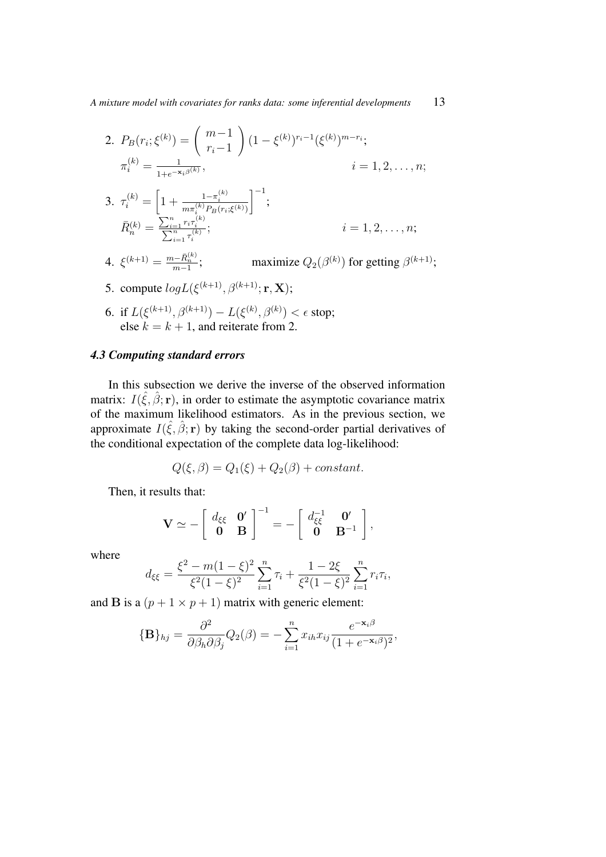2. 
$$
P_B(r_i; \xi^{(k)}) = {m-1 \choose r_i-1} (1 - \xi^{(k)})^{r_i-1} (\xi^{(k)})^{m-r_i};
$$
  
\n
$$
\pi_i^{(k)} = \frac{1}{1 + e^{-\mathbf{x}_i \beta^{(k)}}}, \qquad i = 1, 2, ..., n;
$$
  
\n3.  $\tau_i^{(k)} = \left[1 + \frac{1 - \tau_i^{(k)}}{m \pi_i^{(k)} P_B(r_i; \xi^{(k)})}\right]^{-1};$   
\n
$$
\bar{R}_n^{(k)} = \frac{\sum_{i=1}^n r_i \tau_i^{(k)}}{\sum_{i=1}^n \tau_i^{(k)}}; \qquad i = 1, 2, ..., n;
$$

- 4.  $\xi^{(k+1)} = \frac{m \overline{R}_{n}^{(k)}}{m-1}$ ; maximize  $Q_2(\beta^{(k)})$  for getting  $\beta^{(k+1)}$ ;
- 5. compute  $log L(\xi^{(k+1)}, \beta^{(k+1)}; \mathbf{r}, \mathbf{X});$
- 6. if  $L(\xi^{(k+1)}, \beta^{(k+1)}) L(\xi^{(k)}, \beta^{(k)}) < \epsilon$  stop; else  $k = k + 1$ , and reiterate from 2.

## *4.3 Computing standard errors*

In this subsection we derive the inverse of the observed information matrix:  $I(\hat{\xi}, \hat{\beta}; \mathbf{r})$ , in order to estimate the asymptotic covariance matrix of the maximum likelihood estimators. As in the previous section, we approximate  $I(\hat{\xi}, \hat{\beta}; \mathbf{r})$  by taking the second-order partial derivatives of the conditional expectation of the complete data log-likelihood:

$$
Q(\xi, \beta) = Q_1(\xi) + Q_2(\beta) + constant.
$$

Then, it results that:

$$
\mathbf{V} \simeq -\left[\begin{array}{cc} d_{\xi\xi} & \mathbf{0}' \\ \mathbf{0} & \mathbf{B} \end{array}\right]^{-1} = -\left[\begin{array}{cc} d_{\xi\xi}^{-1} & \mathbf{0}' \\ \mathbf{0} & \mathbf{B}^{-1} \end{array}\right],
$$

where

$$
d_{\xi\xi} = \frac{\xi^2 - m(1 - \xi)^2}{\xi^2 (1 - \xi)^2} \sum_{i=1}^n \tau_i + \frac{1 - 2\xi}{\xi^2 (1 - \xi)^2} \sum_{i=1}^n r_i \tau_i,
$$

and **B** is a  $(p + 1 \times p + 1)$  matrix with generic element:

$$
\{\mathbf{B}\}_{hj} = \frac{\partial^2}{\partial \beta_h \partial \beta_j} Q_2(\beta) = -\sum_{i=1}^n x_{ih} x_{ij} \frac{e^{-\mathbf{x}_i \beta}}{(1 + e^{-\mathbf{x}_i \beta})^2},
$$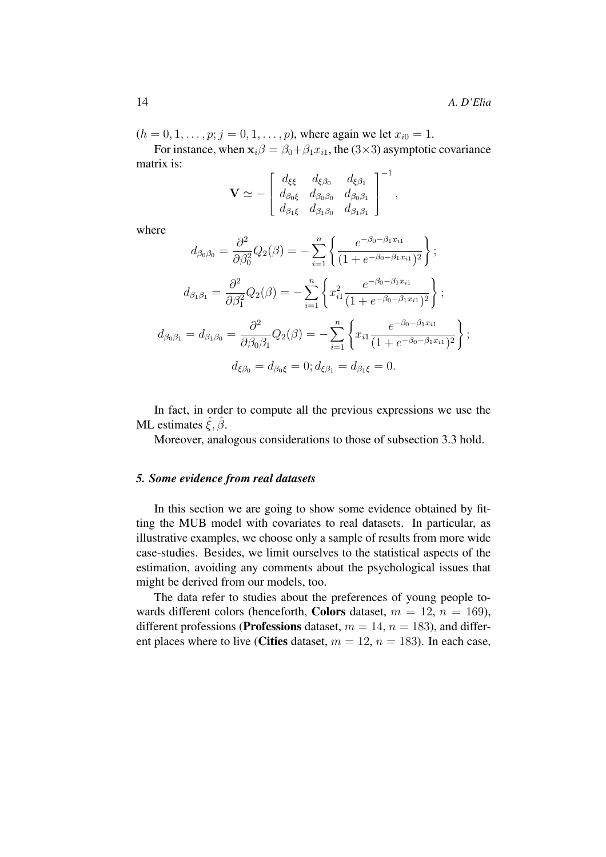$(h = 0, 1, \ldots, p; j = 0, 1, \ldots, p)$ , where again we let  $x_{i0} = 1$ .

For instance, when  $x_i\beta = \beta_0 + \beta_1 x_{i1}$ , the (3×3) asymptotic covariance matrix is:

$$
\mathbf{V}\simeq-\left[\begin{array}{ccc}d_{\xi\xi}&d_{\xi\beta_0}&d_{\xi\beta_1}\\d_{\beta_0\xi}&d_{\beta_0\beta_0}&d_{\beta_0\beta_1}\\d_{\beta_1\xi}&d_{\beta_1\beta_0}&d_{\beta_1\beta_1}\end{array}\right]^{-1},
$$

where

$$
d_{\beta_0\beta_0} = \frac{\partial^2}{\partial \beta_0^2} Q_2(\beta) = -\sum_{i=1}^n \left\{ \frac{e^{-\beta_0 - \beta_1 x_{i1}}}{(1 + e^{-\beta_0 - \beta_1 x_{i1}})^2} \right\};
$$
  
\n
$$
d_{\beta_1\beta_1} = \frac{\partial^2}{\partial \beta_1^2} Q_2(\beta) = -\sum_{i=1}^n \left\{ x_{i1}^2 \frac{e^{-\beta_0 - \beta_1 x_{i1}}}{(1 + e^{-\beta_0 - \beta_1 x_{i1}})^2} \right\};
$$
  
\n
$$
d_{\beta_0\beta_1} = d_{\beta_1\beta_0} = \frac{\partial^2}{\partial \beta_0 \beta_1} Q_2(\beta) = -\sum_{i=1}^n \left\{ x_{i1} \frac{e^{-\beta_0 - \beta_1 x_{i1}}}{(1 + e^{-\beta_0 - \beta_1 x_{i1}})^2} \right\};
$$
  
\n
$$
d_{\xi\beta_0} = d_{\beta_0\xi} = 0; d_{\xi\beta_1} = d_{\beta_1\xi} = 0.
$$

In fact, in order to compute all the previous expressions we use the ML estimates  $\hat{\xi}, \hat{\beta}$ .

Moreover, analogous considerations to those of subsection 3.3 hold.

## *5. Some evidence from real datasets*

In this section we are going to show some evidence obtained by fitting the MUB model with covariates to real datasets. In particular, as illustrative examples, we choose only a sample of results from more wide case-studies. Besides, we limit ourselves to the statistical aspects of the estimation, avoiding any comments about the psychological issues that might be derived from our models, too.

The data refer to studies about the preferences of young people towards different colors (henceforth, **Colors** dataset,  $m = 12$ ,  $n = 169$ ), different professions (**Professions** dataset,  $m = 14$ ,  $n = 183$ ), and different places where to live (**Cities** dataset,  $m = 12$ ,  $n = 183$ ). In each case,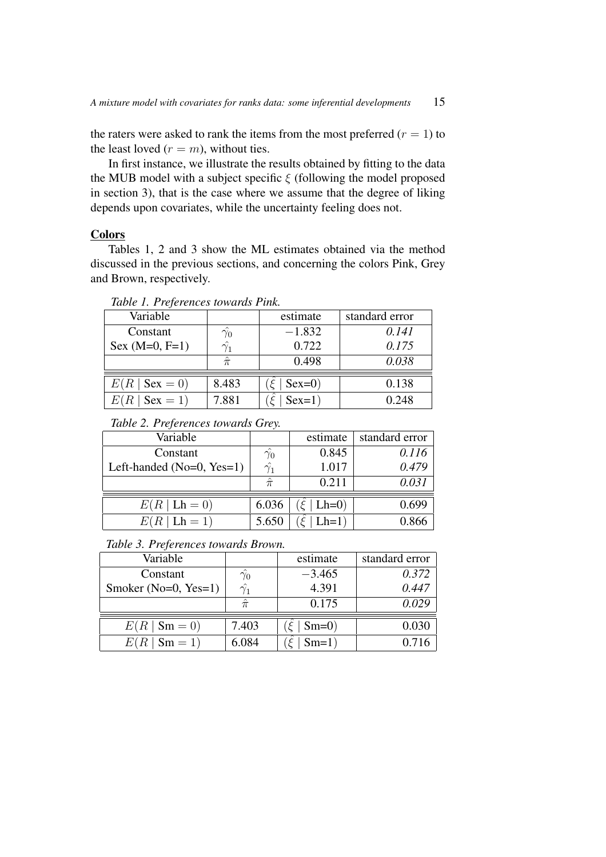the raters were asked to rank the items from the most preferred  $(r = 1)$  to the least loved  $(r = m)$ , without ties.

In first instance, we illustrate the results obtained by fitting to the data the MUB model with a subject specific  $\xi$  (following the model proposed in section 3), that is the case where we assume that the degree of liking depends upon covariates, while the uncertainty feeling does not.

### **Colors**

Tables 1, 2 and 3 show the ML estimates obtained via the method discussed in the previous sections, and concerning the colors Pink, Grey and Brown, respectively.

| Variable                   |             | estimate | standard error |
|----------------------------|-------------|----------|----------------|
| Constant                   | $\gamma_0$  | $-1.832$ | 0.141          |
| Sex $(M=0, F=1)$           | $\gamma_1$  | 0.722    | 0.175          |
|                            | $\hat{\pi}$ | 0.498    | 0.038          |
| $E(R \mid \text{Sex} = 0)$ | 8.483       | $Sex=0)$ | 0.138          |
| $E(R   \text{Sex} = 1)$    | 7.881       | $Sex=1)$ | 0.248          |

*Table 1. Preferences towards Pink.*

| Table 2. Preferences towards Grey. |  |
|------------------------------------|--|
|                                    |  |

| Variable                         |                  | estimate | standard error |
|----------------------------------|------------------|----------|----------------|
| Constant                         | $\hat{\gamma_0}$ | 0.845    | 0.116          |
| Left-handed ( $No=0$ , $Yes=1$ ) | $\hat{\gamma_1}$ | 1.017    | 0.479          |
|                                  | $\hat{\pi}$      | 0.211    | 0.031          |
| $E(R   \text{Lh} = 0)$           | 6.036            | $Lh=0$ ) | 0.699          |
| $E(R   \text{Lh} = 1)$           | 5.650            | $Lh=1)$  | 0.866          |

*Table 3. Preferences towards Brown.*

| Variable                    |                  | estimate | standard error |
|-----------------------------|------------------|----------|----------------|
| Constant                    | $\hat{\gamma_0}$ | $-3.465$ | 0.372          |
| Smoker (No=0, Yes=1)        | $\hat{\gamma_1}$ | 4.391    | 0.447          |
|                             | $\hat{\pi}$      | 0.175    | 0.029          |
| $E(R \mid \mathbf{Sm} = 0)$ | 7.403            | $Sm=0$   | 0.030          |
| $E(R   Sm = 1)$             | 6.084            | $Sm=1)$  | 0.716          |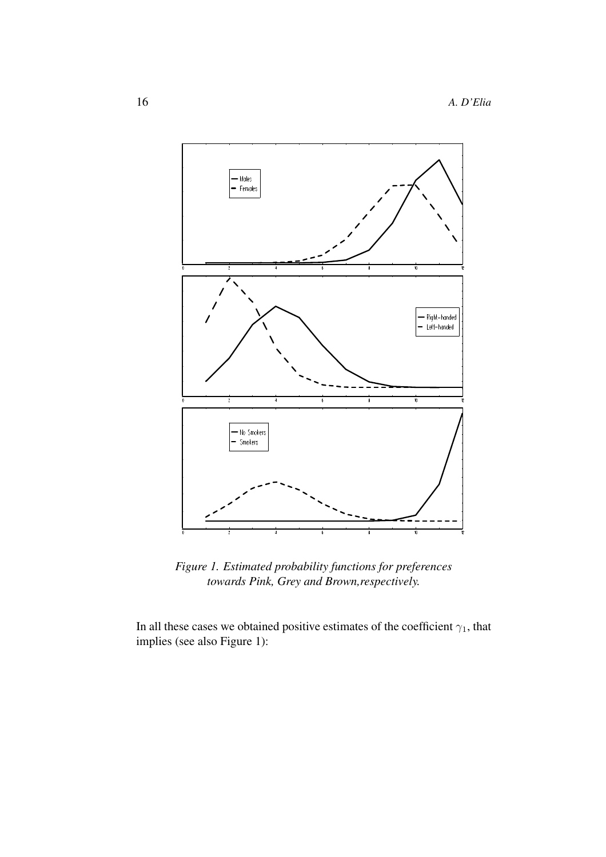

*Figure 1. Estimated probability functions for preferences towards Pink, Grey and Brown,respectively.*

In all these cases we obtained positive estimates of the coefficient  $\gamma_1$ , that implies (see also Figure 1):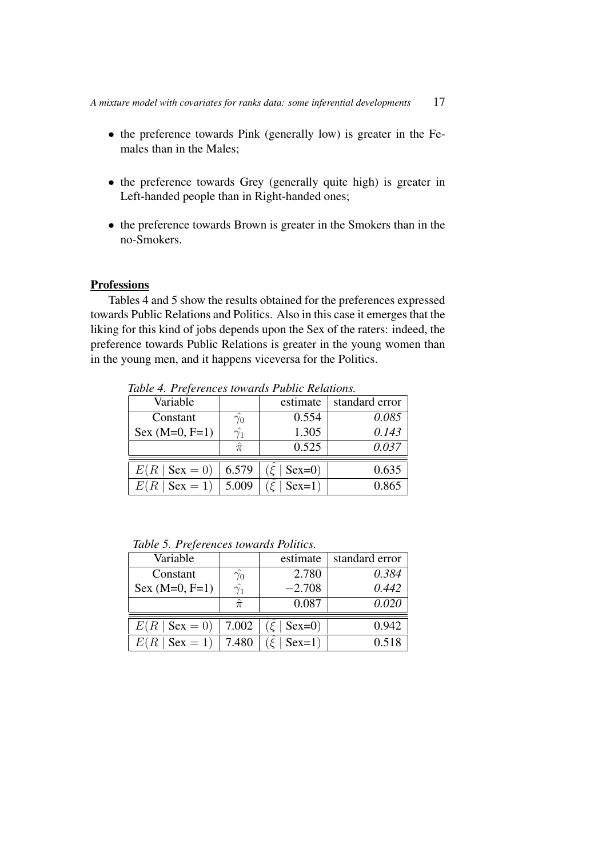- the preference towards Pink (generally low) is greater in the Females than in the Males;
- the preference towards Grey (generally quite high) is greater in Left-handed people than in Right-handed ones;
- the preference towards Brown is greater in the Smokers than in the no-Smokers.

## **Professions**

Tables 4 and 5 show the results obtained for the preferences expressed towards Public Relations and Politics. Also in this case it emerges that the liking for this kind of jobs depends upon the Sex of the raters: indeed, the preference towards Public Relations is greater in the young women than in the young men, and it happens viceversa for the Politics.

| Variable                 |                  | estimate | standard error |
|--------------------------|------------------|----------|----------------|
| Constant                 | $\hat{\gamma_0}$ | 0.554    | 0.085          |
| $Sex (M=0, F=1)$         | $\hat{\gamma_1}$ | 1.305    | 0.143          |
|                          | $\hat{\pi}$      | 0.525    | 0.037          |
| $E(R   \text{Sex } = 0)$ | 6.579            | $Sex=0)$ | 0.635          |
| E(R)<br>$\vert$ Sex = 1) | 5.009            | $Sex=1)$ | 0.865          |

*Table 4. Preferences towards Public Relations.*

*Table 5. Preferences towards Politics.*

| Variable                   |                  | estimate | standard error |
|----------------------------|------------------|----------|----------------|
| Constant                   | $\hat{\gamma_0}$ | 2.780    | 0.384          |
| $Sex (M=0, F=1)$           | $\hat{\gamma_1}$ | $-2.708$ | 0.442          |
|                            | $\hat{\pi}$      | 0.087    | 0.020          |
|                            |                  |          |                |
| $E(R \mid \text{Sex} = 0)$ | 7.002            | $Sex=0)$ | 0.942          |
| $E(R   \text{Sex } = 1)$   | 7.480            | $Sex=1)$ | 0.518          |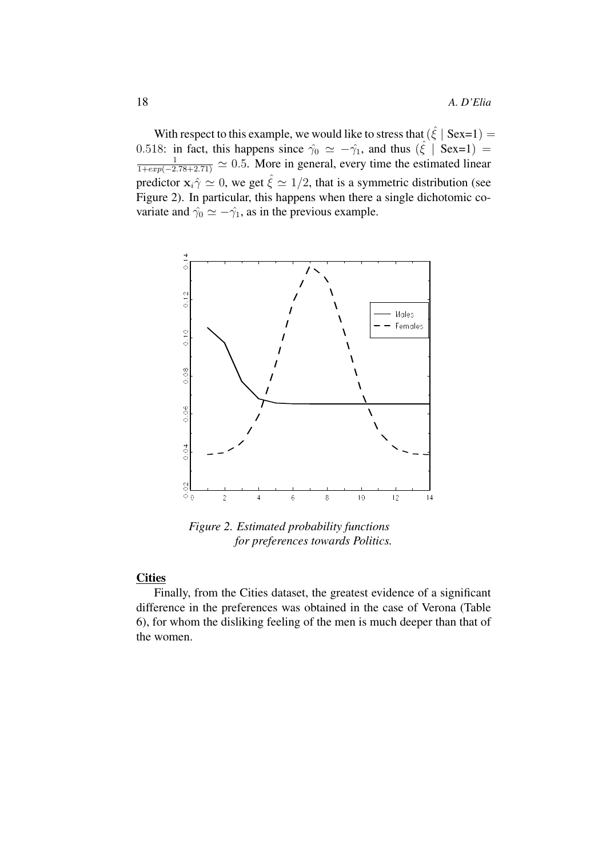With respect to this example, we would like to stress that  $(\hat{\xi} \mid \text{Sex=1}) =$ 0.518: in fact, this happens since  $\hat{\gamma}_0 \simeq -\hat{\gamma}_1$ , and thus  $(\hat{\xi} \mid \text{Sex=1}) =$  $\frac{1}{1+exp(-2.78+2.71)} \simeq 0.5$ . More in general, every time the estimated linear predictor  $\mathbf{x}_i \hat{\gamma} \simeq 0$ , we get  $\hat{\xi} \simeq 1/2$ , that is a symmetric distribution (see Figure 2). In particular, this happens when there a single dichotomic covariate and  $\hat{\gamma}_0 \simeq -\hat{\gamma}_1$ , as in the previous example.



*Figure 2. Estimated probability functions for preferences towards Politics.*

# **Cities**

Finally, from the Cities dataset, the greatest evidence of a significant difference in the preferences was obtained in the case of Verona (Table 6), for whom the disliking feeling of the men is much deeper than that of the women.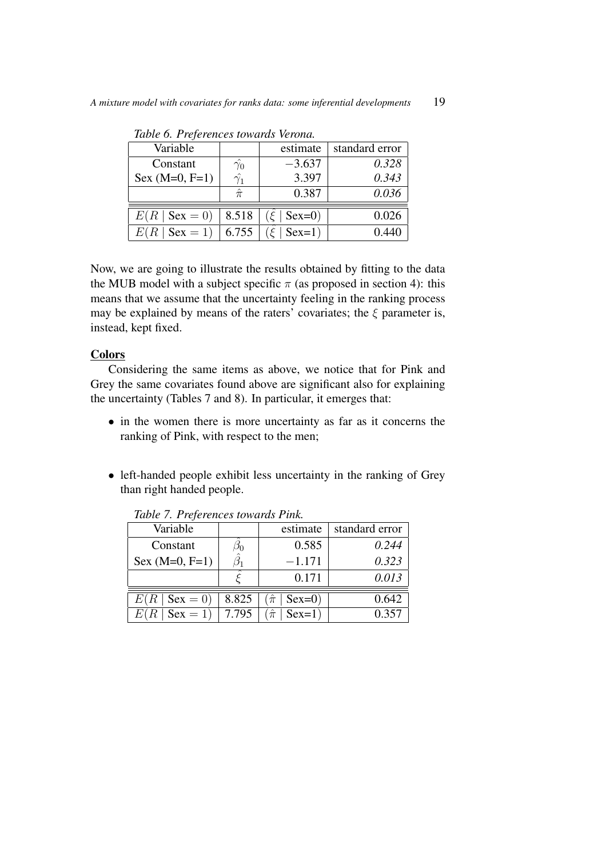|                  | estimate | standard error |
|------------------|----------|----------------|
| $\hat{\gamma_0}$ | $-3.637$ | 0.328          |
| $\hat{\gamma_1}$ | 3.397    | 0.343          |
| $\hat{\pi}$      | 0.387    | 0.036          |
|                  |          |                |
| 8.518            | $Sex=0)$ | 0.026          |
| 6.755            | $Sex=1)$ | 0.440          |
|                  |          |                |

*Table 6. Preferences towards Verona.*

Now, we are going to illustrate the results obtained by fitting to the data the MUB model with a subject specific  $\pi$  (as proposed in section 4): this means that we assume that the uncertainty feeling in the ranking process may be explained by means of the raters' covariates; the  $\xi$  parameter is, instead, kept fixed.

# **Colors**

Considering the same items as above, we notice that for Pink and Grey the same covariates found above are significant also for explaining the uncertainty (Tables 7 and 8). In particular, it emerges that:

- in the women there is more uncertainty as far as it concerns the ranking of Pink, with respect to the men;
- left-handed people exhibit less uncertainty in the ranking of Grey than right handed people.

| Variable                   |          | estimate                | standard error |
|----------------------------|----------|-------------------------|----------------|
| Constant                   | $\rho_0$ | 0.585                   | 0.244          |
| Sex $(M=0, F=1)$           |          | $-1.171$                | 0.323          |
|                            |          | 0.171                   | 0.013          |
| $E(R \mid \text{Sex} = 0)$ | 8.825    | $\hat{\pi}$<br>$Sex=0)$ | 0.642          |
| $E(R   \text{Sex } = 1)$   | 7.795    | $\hat{\pi}$<br>$Sex=1)$ | 0.357          |

*Table 7. Preferences towards Pink.*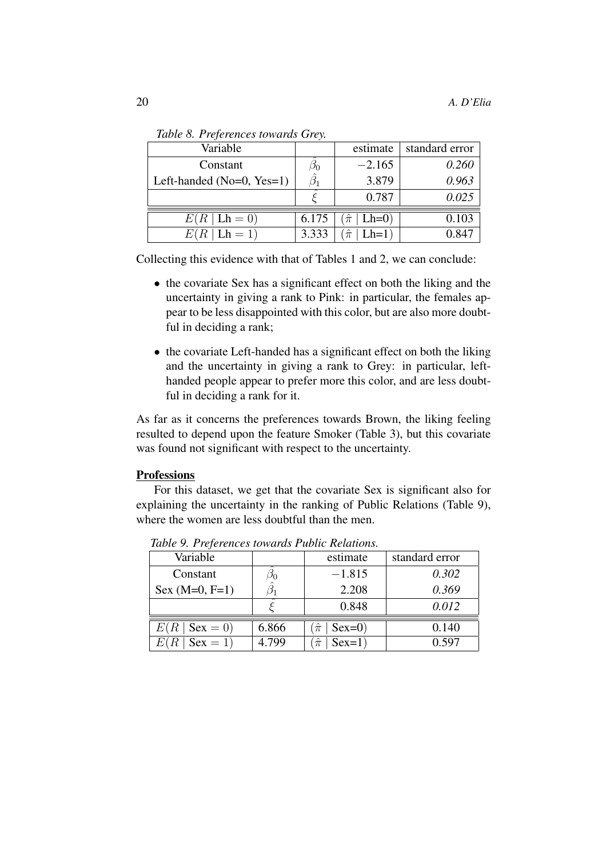| Variable                  |            | estimate | standard error |
|---------------------------|------------|----------|----------------|
| Constant                  | $\omega_0$ | $-2.165$ | 0.260          |
| Left-handed (No=0, Yes=1) |            | 3.879    | 0.963          |
|                           |            | 0.787    | 0.025          |
| $E(R   \text{Lh} = 0)$    | 6.175      | $Lh=0$ ) | 0.103          |
| $Lh = 1$                  | 3.333      | $Lh=1$   | 0.847          |

*Table 8. Preferences towards Grey.*

Collecting this evidence with that of Tables 1 and 2, we can conclude:

- the covariate Sex has a significant effect on both the liking and the uncertainty in giving a rank to Pink: in particular, the females appear to be less disappointed with this color, but are also more doubtful in deciding a rank;
- the covariate Left-handed has a significant effect on both the liking and the uncertainty in giving a rank to Grey: in particular, lefthanded people appear to prefer more this color, and are less doubtful in deciding a rank for it.

As far as it concerns the preferences towards Brown, the liking feeling resulted to depend upon the feature Smoker (Table 3), but this covariate was found not significant with respect to the uncertainty.

## **Professions**

For this dataset, we get that the covariate Sex is significant also for explaining the uncertainty in the ranking of Public Relations (Table 9), where the women are less doubtful than the men.

| Variable          |       | estimate                | standard error |
|-------------------|-------|-------------------------|----------------|
| Constant          | ാറ    | $-1.815$                | 0.302          |
| $Sex (M=0, F=1)$  |       | 2.208                   | 0.369          |
|                   |       | 0.848                   | 0.012          |
| $Sex = 0$<br>E(R) | 6.866 | $Sex=0)$<br>$\pi$       | 0.140          |
| $Sex = 1$         | 4.799 | $\hat{\pi}$<br>$Sex=1)$ | 0.597          |

*Table 9. Preferences towards Public Relations.*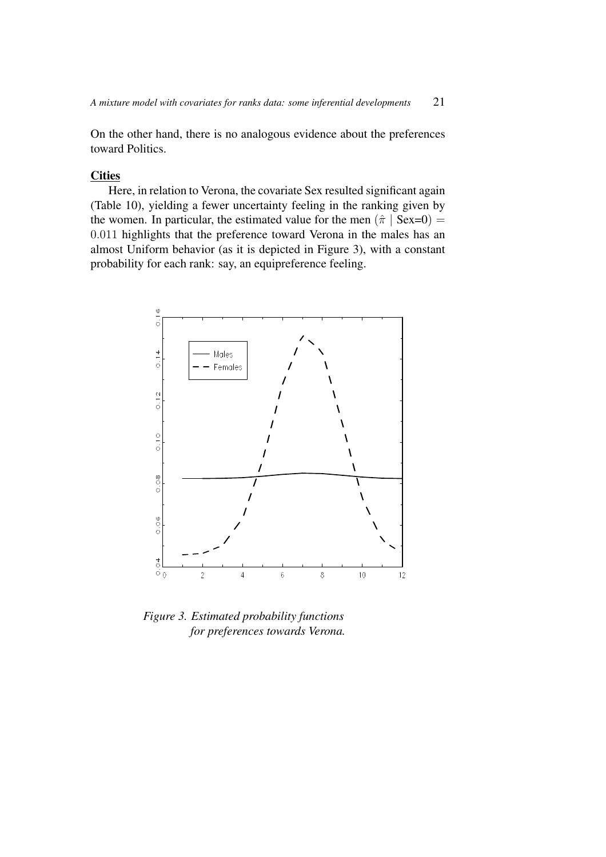On the other hand, there is no analogous evidence about the preferences toward Politics.

# **Cities**

Here, in relation to Verona, the covariate Sex resulted significant again (Table 10), yielding a fewer uncertainty feeling in the ranking given by the women. In particular, the estimated value for the men  $(\hat{\pi} | \text{Sex=0})$  = 0.011 highlights that the preference toward Verona in the males has an almost Uniform behavior (as it is depicted in Figure 3), with a constant probability for each rank: say, an equipreference feeling.



*Figure 3. Estimated probability functions for preferences towards Verona.*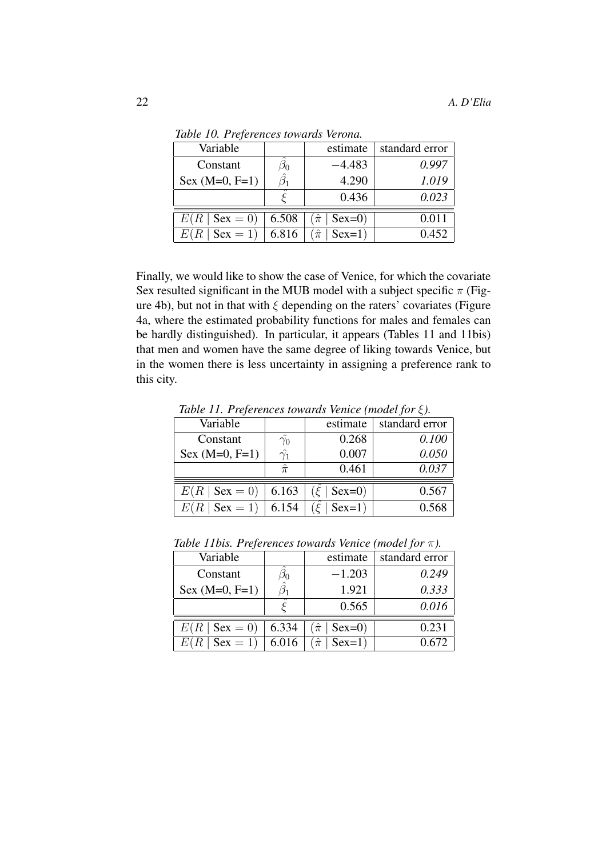| Variable                   |       | estimate                | standard error |
|----------------------------|-------|-------------------------|----------------|
| Constant                   | Jη    | $-4.483$                | 0.997          |
| $Sex (M=0, F=1)$           |       | 4.290                   | 1.019          |
|                            |       | 0.436                   | 0.023          |
| $E(R \mid \text{Sex} = 0)$ | 6.508 | $\hat{\pi}$<br>$Sex=0)$ | 0.011          |
| $Sex = 1$                  | 6.816 | $\hat{\pi}$<br>$Sex=1)$ | 0.452          |

*Table 10. Preferences towards Verona.*

Finally, we would like to show the case of Venice, for which the covariate Sex resulted significant in the MUB model with a subject specific  $\pi$  (Figure 4b), but not in that with  $\xi$  depending on the raters' covariates (Figure 4a, where the estimated probability functions for males and females can be hardly distinguished). In particular, it appears (Tables 11 and 11bis) that men and women have the same degree of liking towards Venice, but in the women there is less uncertainty in assigning a preference rank to this city.

| Variable                   |                  | estimate | standard error |
|----------------------------|------------------|----------|----------------|
| Constant                   | $\hat{\gamma_0}$ | 0.268    | 0.100          |
| $Sex (M=0, F=1)$           | $\hat{\gamma_1}$ | 0.007    | 0.050          |
|                            | $\hat{\pi}$      | 0.461    | 0.037          |
| $E(R \mid \text{Sex} = 0)$ | 6.163            | $Sex=0)$ | 0.567          |
| $E(R   \text{Sex} = 1)$    | 6.154            | $Sex=1)$ | 0.568          |

*Table 11. Preferences towards Venice (model for* ξ*).*

| <i>Role Hotel Hejerences formates venice</i> ( <i>moder</i> for <i>n j</i> . |           |                           |                |
|------------------------------------------------------------------------------|-----------|---------------------------|----------------|
| Variable                                                                     |           | estimate                  | standard error |
| Constant                                                                     | $\beta_0$ | $-1.203$                  | 0.249          |
| Sex $(M=0, F=1)$                                                             | $\beta_1$ | 1.921                     | 0.333          |
|                                                                              |           | 0.565                     | 0.016          |
| $E(R \mid \text{Sex} = 0)$                                                   | 6.334     | $Sex=0)$<br>$(\hat{\pi})$ | 0.231          |
| $Sex = 1$                                                                    | 6.016     | $\hat{\pi}$<br>$Sex=1)$   | 0.672          |

*Table 11bis. Preferences towards Venice (model for* π*).*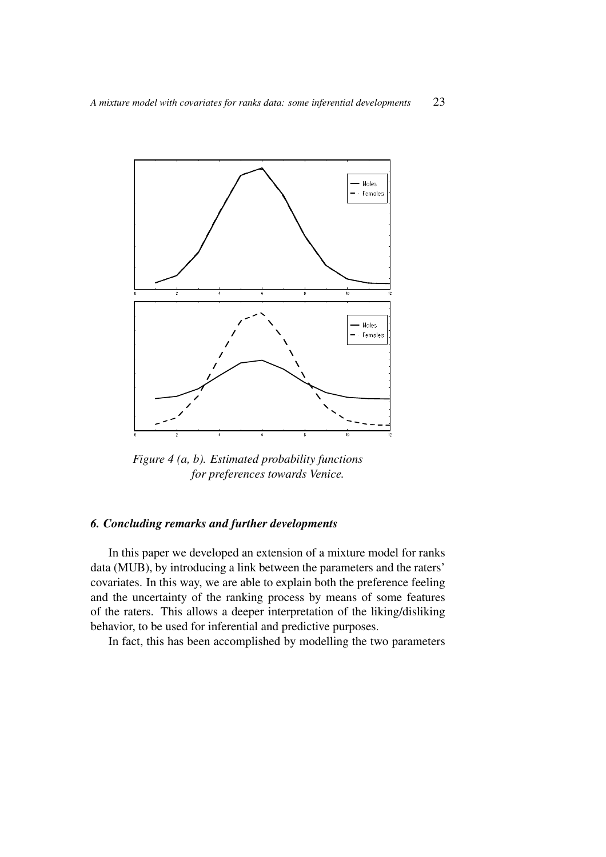

*Figure 4 (a, b). Estimated probability functions for preferences towards Venice.*

# *6. Concluding remarks and further developments*

In this paper we developed an extension of a mixture model for ranks data (MUB), by introducing a link between the parameters and the raters' covariates. In this way, we are able to explain both the preference feeling and the uncertainty of the ranking process by means of some features of the raters. This allows a deeper interpretation of the liking/disliking behavior, to be used for inferential and predictive purposes.

In fact, this has been accomplished by modelling the two parameters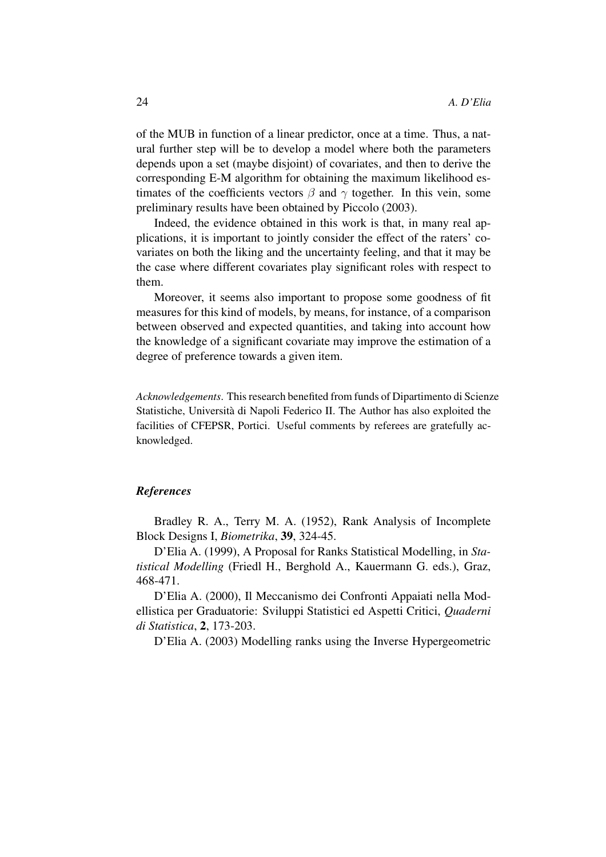of the MUB in function of a linear predictor, once at a time. Thus, a natural further step will be to develop a model where both the parameters depends upon a set (maybe disjoint) of covariates, and then to derive the corresponding E-M algorithm for obtaining the maximum likelihood estimates of the coefficients vectors  $\beta$  and  $\gamma$  together. In this vein, some preliminary results have been obtained by Piccolo (2003).

Indeed, the evidence obtained in this work is that, in many real applications, it is important to jointly consider the effect of the raters' covariates on both the liking and the uncertainty feeling, and that it may be the case where different covariates play significant roles with respect to them.

Moreover, it seems also important to propose some goodness of fit measures for this kind of models, by means, for instance, of a comparison between observed and expected quantities, and taking into account how the knowledge of a significant covariate may improve the estimation of a degree of preference towards a given item.

*Acknowledgements*. Thisresearch benefited from funds of Dipartimento di Scienze Statistiche, Universita` di Napoli Federico II. The Author has also exploited the facilities of CFEPSR, Portici. Useful comments by referees are gratefully acknowledged.

### *References*

Bradley R. A., Terry M. A. (1952), Rank Analysis of Incomplete Block Designs I, *Biometrika*, **39**, 324-45.

D'Elia A. (1999), A Proposal for Ranks Statistical Modelling, in *Statistical Modelling* (Friedl H., Berghold A., Kauermann G. eds.), Graz, 468-471.

D'Elia A. (2000), Il Meccanismo dei Confronti Appaiati nella Modellistica per Graduatorie: Sviluppi Statistici ed Aspetti Critici, *Quaderni di Statistica*, **2**, 173-203.

D'Elia A. (2003) Modelling ranks using the Inverse Hypergeometric